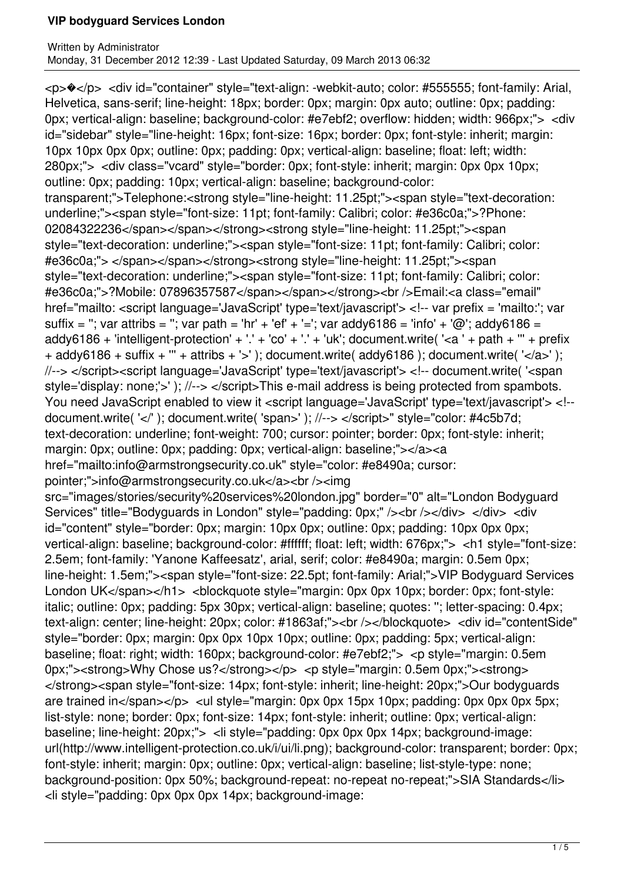<p>�</p> <div id="container" style="text-align: -webkit-auto; color: #555555; font-family: Arial, Helvetica, sans-serif; line-height: 18px; border: 0px; margin: 0px auto; outline: 0px; padding: 0px; vertical-align: baseline; background-color: #e7ebf2; overflow: hidden; width: 966px;"> <div id="sidebar" style="line-height: 16px; font-size: 16px; border: 0px; font-style: inherit; margin: 10px 10px 0px 0px; outline: 0px; padding: 0px; vertical-align: baseline; float: left; width: 280px;"> <div class="vcard" style="border: 0px; font-style: inherit; margin: 0px 0px 10px; outline: 0px; padding: 10px; vertical-align: baseline; background-color: transparent;">Telephone:<strong style="line-height: 11.25pt;"><span style="text-decoration: underline;"><span style="font-size: 11pt; font-family: Calibri; color: #e36c0a;">?Phone: 02084322236</span></span></strong><strong style="line-height: 11.25pt;"><span style="text-decoration: underline;"><span style="font-size: 11pt; font-family: Calibri; color: #e36c0a;"> </span></span></strong><strong style="line-height: 11.25pt;"><span style="text-decoration: underline;"><span style="font-size: 11pt; font-family: Calibri; color: #e36c0a;">?Mobile: 07896357587</span></span></strong><br />Email:<a class="email" href="mailto: <script language='JavaScript' type='text/javascript'> <!-- var prefix = 'mailto:'; var suffix = "; var attribs = "; var path = 'hr' + 'ef' + '='; var addy6186 = 'info' + '@'; addy6186 = addy6186 + 'intelligent-protection' + '.' + 'co' + '.' + 'uk'; document.write( '<a ' + path + "' + prefix + addy6186 + suffix + "' + attribs + '>' ); document.write( addy6186 ); document.write( '</a>' ); //--> </script><script language='JavaScript' type='text/javascript'> <!-- document.write( '<span style='display: none;'>' ); //--> </script>This e-mail address is being protected from spambots. You need JavaScript enabled to view it <script language='JavaScript' type='text/javascript'> <!-document.write( '</' ); document.write( 'span>' ); //--> </script>" style="color: #4c5b7d; text-decoration: underline; font-weight: 700; cursor: pointer; border: 0px; font-style: inherit; margin: 0px; outline: 0px; padding: 0px; vertical-align: baseline;"></a><a href="mailto:info@armstrongsecurity.co.uk" style="color: #e8490a; cursor: pointer;">info@armstrongsecurity.co.uk</a><br /><img src="images/stories/security%20services%20london.jpg" border="0" alt="London Bodyguard Services" title="Bodyguards in London" style="padding: 0px;" /><br />>/> /></div> </div> <div id="content" style="border: 0px; margin: 10px 0px; outline: 0px; padding: 10px 0px 0px; vertical-align: baseline; background-color: #ffffff; float: left; width: 676px;"> <h1 style="font-size: 2.5em; font-family: 'Yanone Kaffeesatz', arial, serif; color: #e8490a; margin: 0.5em 0px; line-height: 1.5em;"><span style="font-size: 22.5pt; font-family: Arial;">VIP Bodyguard Services London UK</span></h1> <br/>blockquote style="margin: 0px 0px 10px; border: 0px; font-style: italic; outline: 0px; padding: 5px 30px; vertical-align: baseline; quotes: ''; letter-spacing: 0.4px; text-align: center; line-height: 20px; color: #1863af;"><br />>/blockquote> <div id="contentSide" style="border: 0px; margin: 0px 0px 10px 10px; outline: 0px; padding: 5px; vertical-align: baseline; float: right; width: 160px; background-color: #e7ebf2;"> <p style="margin: 0.5em 0px;"> < strong>Why Chose us? </ strong> </p> <p style="margin: 0.5em 0px;"> < strong> </strong><span style="font-size: 14px; font-style: inherit; line-height: 20px;">Our bodyguards are trained in</span></p> <ul style="margin: 0px 0px 15px 10px; padding: 0px 0px 0px 5px; list-style: none; border: 0px; font-size: 14px; font-style: inherit; outline: 0px; vertical-align: baseline; line-height: 20px;"> <li style="padding: 0px 0px 0px 14px; background-image: url(http://www.intelligent-protection.co.uk/i/ui/li.png); background-color: transparent; border: 0px; font-style: inherit; margin: 0px; outline: 0px; vertical-align: baseline; list-style-type: none; background-position: 0px 50%; background-repeat: no-repeat no-repeat:">SIA Standards</li> <li style="padding: 0px 0px 0px 14px; background-image: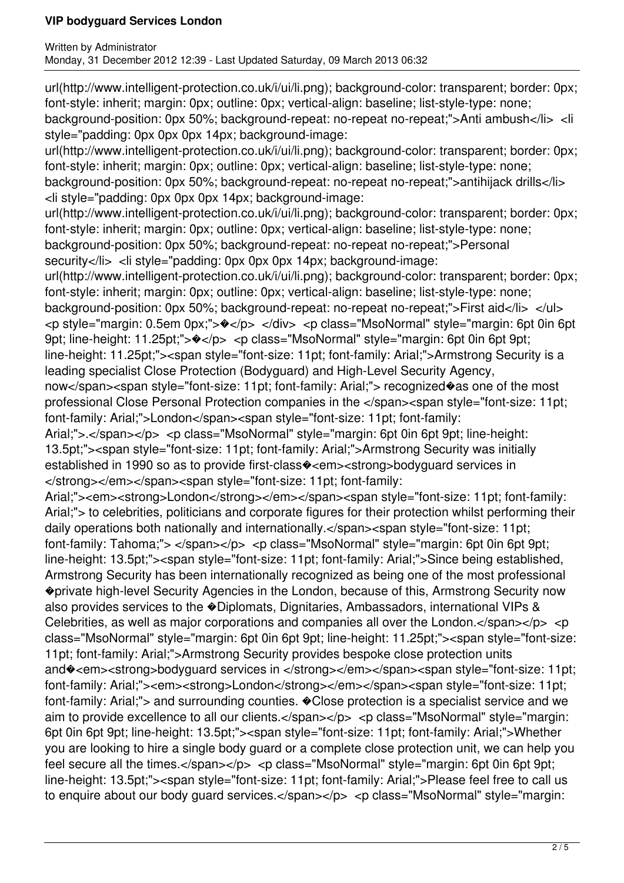url(http://www.intelligent-protection.co.uk/i/ui/li.png); background-color: transparent; border: 0px; font-style: inherit; margin: 0px; outline: 0px; vertical-align: baseline; list-style-type: none; background-position: 0px 50%; background-repeat: no-repeat no-repeat;">Anti ambush</li> <li style="padding: 0px 0px 0px 14px; background-image:

url(http://www.intelligent-protection.co.uk/i/ui/li.png); background-color: transparent; border: 0px; font-style: inherit; margin: 0px; outline: 0px; vertical-align: baseline; list-style-type: none; background-position: 0px 50%; background-repeat: no-repeat no-repeat;">antihijack drills</li> <li style="padding: 0px 0px 0px 14px; background-image:

url(http://www.intelligent-protection.co.uk/i/ui/li.png); background-color: transparent; border: 0px; font-style: inherit; margin: 0px; outline: 0px; vertical-align: baseline; list-style-type: none; background-position: 0px 50%; background-repeat: no-repeat no-repeat;">Personal

security</li> <li style="padding: 0px 0px 0px 14px; background-image:

url(http://www.intelligent-protection.co.uk/i/ui/li.png); background-color: transparent; border: 0px; font-style: inherit; margin: 0px; outline: 0px; vertical-align: baseline; list-style-type: none; background-position: 0px 50%; background-repeat: no-repeat no-repeat;">First aid</li> </ul> <p style="margin: 0.5em 0px;">�</p> </div> <p class="MsoNormal" style="margin: 6pt 0in 6pt 9pt; line-height: 11.25pt;"> $\bullet$ </p> <p class="MsoNormal" style="margin: 6pt 0in 6pt 9pt; line-height: 11.25pt;"><span style="font-size: 11pt; font-family: Arial;">Armstrong Security is a leading specialist Close Protection (Bodyguard) and High-Level Security Agency,

now</span><span style="font-size: 11pt; font-family: Arial;"> recognized�as one of the most professional Close Personal Protection companies in the </span><span style="font-size: 11pt; font-family: Arial;">London</span><span style="font-size: 11pt; font-family:

Arial;">.</span></p> <p class="MsoNormal" style="margin: 6pt 0in 6pt 9pt; line-height: 13.5pt;"><span style="font-size: 11pt; font-family: Arial;">Armstrong Security was initially established in 1990 so as to provide first-class�<em><strong>bodyguard services in </strong></em></span><span style="font-size: 11pt; font-family:

Arial;"><em><strong>London</strong></em></span><span style="font-size: 11pt; font-family: Arial;"> to celebrities, politicians and corporate figures for their protection whilst performing their daily operations both nationally and internationally.</span><span style="font-size: 11pt; font-family: Tahoma;"> </span></p> <p class="MsoNormal" style="margin: 6pt 0in 6pt 9pt; line-height: 13.5pt;"><span style="font-size: 11pt; font-family: Arial;">Since being established, Armstrong Security has been internationally recognized as being one of the most professional �private high-level Security Agencies in the London, because of this, Armstrong Security now also provides services to the �Diplomats, Dignitaries, Ambassadors, international VIPs & Celebrities, as well as major corporations and companies all over the London. $\lt$ /span $\lt$ /p $>$  $\lt$ p class="MsoNormal" style="margin: 6pt 0in 6pt 9pt; line-height: 11.25pt;"><span style="font-size: 11pt; font-family: Arial;">Armstrong Security provides bespoke close protection units and $\odot$ <em><strong>bodyguard services in </strong></em></span><span style="font-size: 11pt; font-family: Arial;"><em><strong>London</strong></em></span><span style="font-size: 11pt; font-family: Arial;"> and surrounding counties.  $\bullet$  Close protection is a specialist service and we aim to provide excellence to all our clients.</span></p> <p class="MsoNormal" style="margin: 6pt 0in 6pt 9pt; line-height: 13.5pt;"><span style="font-size: 11pt; font-family: Arial;">Whether you are looking to hire a single body guard or a complete close protection unit, we can help you feel secure all the times.</span></p> <p class="MsoNormal" style="margin: 6pt 0in 6pt 9pt; line-height: 13.5pt;"><span style="font-size: 11pt; font-family: Arial;">Please feel free to call us to enquire about our body quard services.</span></p> <p class="MsoNormal" style="margin: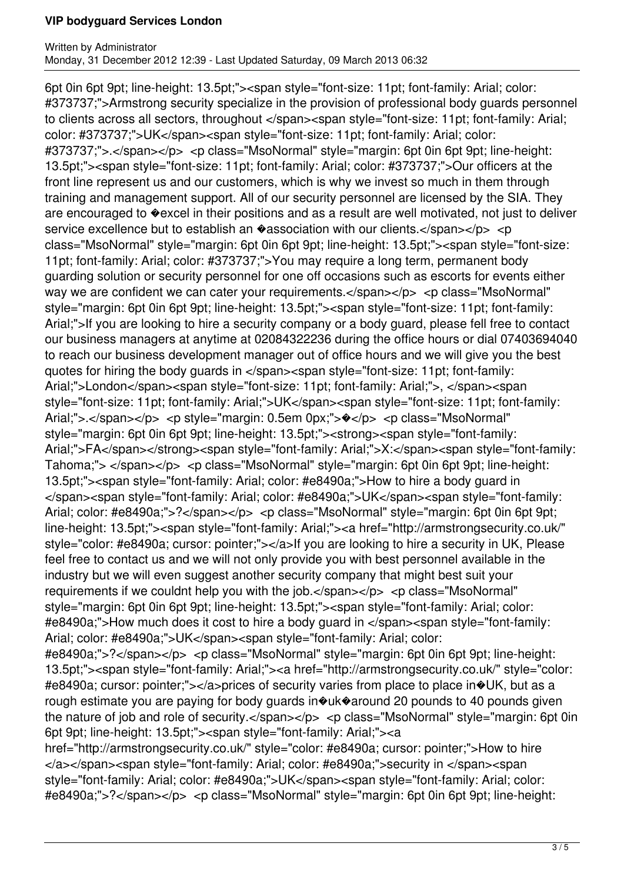6pt 0in 6pt 9pt; line-height: 13.5pt;"><span style="font-size: 11pt; font-family: Arial; color: #373737;">Armstrong security specialize in the provision of professional body guards personnel to clients across all sectors, throughout </span><span style="font-size: 11pt; font-family: Arial; color: #373737;">UK</span><span style="font-size: 11pt; font-family: Arial; color: #373737;">.</span></p> <p class="MsoNormal" style="margin: 6pt 0in 6pt 9pt; line-height: 13.5pt;"><span style="font-size: 11pt; font-family: Arial; color: #373737;">Our officers at the front line represent us and our customers, which is why we invest so much in them through training and management support. All of our security personnel are licensed by the SIA. They are encouraged to �excel in their positions and as a result are well motivated, not just to deliver service excellence but to establish an  $\bullet$  association with our clients.</span></p> <p class="MsoNormal" style="margin: 6pt 0in 6pt 9pt; line-height: 13.5pt;"><span style="font-size: 11pt; font-family: Arial; color: #373737;">You may require a long term, permanent body guarding solution or security personnel for one off occasions such as escorts for events either way we are confident we can cater your requirements.</span></p></p> <p class="MsoNormal" style="margin: 6pt 0in 6pt 9pt; line-height: 13.5pt;"><span style="font-size: 11pt; font-family: Arial;">If you are looking to hire a security company or a body guard, please fell free to contact our business managers at anytime at 02084322236 during the office hours or dial 07403694040 to reach our business development manager out of office hours and we will give you the best quotes for hiring the body guards in </span><span style="font-size: 11pt; font-family: Arial;">London</span><span style="font-size: 11pt; font-family: Arial;">, </span><span style="font-size: 11pt; font-family: Arial;">UK</span><span style="font-size: 11pt; font-family: Arial;">.</span></p> <p style="margin: 0.5em 0px;"> $\diamond$ </p> <p class="MsoNormal" style="margin: 6pt 0in 6pt 9pt; line-height: 13.5pt;"><strong><span style="font-family: Arial;">FA</span></strong><span style="font-family: Arial;">X:</span><span style="font-family: Tahoma;"> </span></p> <p class="MsoNormal" style="margin: 6pt 0in 6pt 9pt; line-height: 13.5pt;"><span style="font-family: Arial; color: #e8490a;">How to hire a body guard in </span><span style="font-family: Arial; color: #e8490a;">UK</span><span style="font-family: Arial; color: #e8490a;">?</span></p> <p class="MsoNormal" style="margin: 6pt 0in 6pt 9pt; line-height: 13.5pt;"><span style="font-family: Arial;"><a href="http://armstrongsecurity.co.uk/" style="color: #e8490a; cursor: pointer;"></a>If you are looking to hire a security in UK, Please feel free to contact us and we will not only provide you with best personnel available in the industry but we will even suggest another security company that might best suit your requirements if we couldnt help you with the  $job. span $>$ /p $>$  <p class="MsoNormal"$ style="margin: 6pt 0in 6pt 9pt; line-height: 13.5pt;"><span style="font-family: Arial; color: #e8490a;">How much does it cost to hire a body guard in </span><span style="font-family: Arial; color: #e8490a;">UK</span><span style="font-family: Arial; color: #e8490a;">?</span></p> <p class="MsoNormal" style="margin: 6pt 0in 6pt 9pt; line-height: 13.5pt;"><span style="font-family: Arial;"><a href="http://armstrongsecurity.co.uk/" style="color: #e8490a; cursor: pointer;"></a>prices of security varies from place to place in�UK, but as a rough estimate you are paying for body guards in�uk�around 20 pounds to 40 pounds given the nature of job and role of security.</span></p> <p class="MsoNormal" style="margin: 6pt 0in 6pt 9pt; line-height: 13.5pt;"><span style="font-family: Arial;"><a

href="http://armstrongsecurity.co.uk/" style="color: #e8490a; cursor: pointer;">How to hire </a></span><span style="font-family: Arial; color: #e8490a;">security in </span><span style="font-family: Arial; color: #e8490a;">UK</span><span style="font-family: Arial; color: #e8490a;">?</span></p> <p class="MsoNormal" style="margin: 6pt 0in 6pt 9pt; line-height: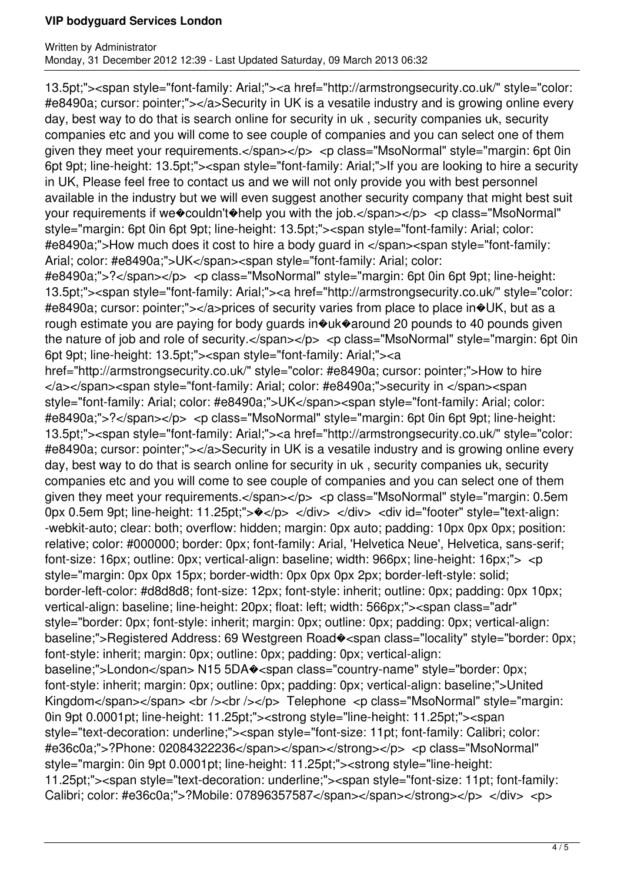13.5pt;"><span style="font-family: Arial;"><a href="http://armstrongsecurity.co.uk/" style="color: #e8490a; cursor: pointer;"></a>Security in UK is a vesatile industry and is growing online every day, best way to do that is search online for security in uk , security companies uk, security companies etc and you will come to see couple of companies and you can select one of them given they meet your requirements.</span></p> <p class="MsoNormal" style="margin: 6pt 0in 6pt 9pt; line-height: 13.5pt;"><span style="font-family: Arial;">If you are looking to hire a security in UK, Please feel free to contact us and we will not only provide you with best personnel available in the industry but we will even suggest another security company that might best suit your requirements if we�couldn't�help you with the job.</span></p> <p class="MsoNormal" style="margin: 6pt 0in 6pt 9pt; line-height: 13.5pt;"><span style="font-family: Arial; color: #e8490a;">How much does it cost to hire a body guard in </span><span style="font-family: Arial; color: #e8490a;">UK</span><span style="font-family: Arial; color:

#e8490a;">?</span></p> <p class="MsoNormal" style="margin: 6pt 0in 6pt 9pt; line-height: 13.5pt;"><span style="font-family: Arial;"><a href="http://armstrongsecurity.co.uk/" style="color: #e8490a; cursor: pointer;"></a>prices of security varies from place to place in�UK, but as a rough estimate you are paying for body guards in�uk�around 20 pounds to 40 pounds given the nature of job and role of security.</span></p> <p class="MsoNormal" style="margin: 6pt 0in 6pt 9pt; line-height: 13.5pt;"><span style="font-family: Arial;"><a

href="http://armstrongsecurity.co.uk/" style="color: #e8490a; cursor: pointer;">How to hire </a></span><span style="font-family: Arial; color: #e8490a;">security in </span><span style="font-family: Arial; color: #e8490a;">UK</span><span style="font-family: Arial; color: #e8490a;">?</span></p> <p class="MsoNormal" style="margin: 6pt 0in 6pt 9pt; line-height: 13.5pt;"><span style="font-family: Arial;"><a href="http://armstrongsecurity.co.uk/" style="color: #e8490a; cursor: pointer;"></a>Security in UK is a vesatile industry and is growing online every day, best way to do that is search online for security in uk , security companies uk, security companies etc and you will come to see couple of companies and you can select one of them given they meet your requirements.</span></p> <p class="MsoNormal" style="margin: 0.5em 0px 0.5em 9pt; line-height: 11.25pt;">\</div> </div> </div> <div id="footer" style="text-align: -webkit-auto; clear: both; overflow: hidden; margin: 0px auto; padding: 10px 0px 0px; position: relative; color: #000000; border: 0px; font-family: Arial, 'Helvetica Neue', Helvetica, sans-serif; font-size: 16px; outline: 0px; vertical-align: baseline; width: 966px; line-height: 16px;"> <p style="margin: 0px 0px 15px; border-width: 0px 0px 0px 2px; border-left-style: solid; border-left-color: #d8d8d8; font-size: 12px; font-style: inherit; outline: 0px; padding: 0px 10px; vertical-align: baseline; line-height: 20px; float: left; width: 566px;"><span class="adr" style="border: 0px; font-style: inherit; margin: 0px; outline: 0px; padding: 0px; vertical-align: baseline;">Registered Address: 69 Westgreen Road�<span class="locality" style="border: 0px; font-style: inherit; margin: 0px; outline: 0px; padding: 0px; vertical-align: baseline;">London</span> N15 5DA�<span class="country-name" style="border: 0px; font-style: inherit; margin: 0px; outline: 0px; padding: 0px; vertical-align: baseline;">United Kingdom</span></span> <br />> />><br />br /></p>Telephone <p class="MsoNormal" style="margin: 0in 9pt 0.0001pt; line-height: 11.25pt;"><strong style="line-height: 11.25pt;"><span style="text-decoration: underline;"><span style="font-size: 11pt; font-family: Calibri; color: #e36c0a;">?Phone: 02084322236</span></span></strong></p> <p class="MsoNormal" style="margin: 0in 9pt 0.0001pt; line-height: 11.25pt;"><strong style="line-height: 11.25pt;"><span style="text-decoration: underline;"><span style="font-size: 11pt; font-family: Calibri; color: #e36c0a;">?Mobile: 07896357587</span></span></strong></p> </div> <p>